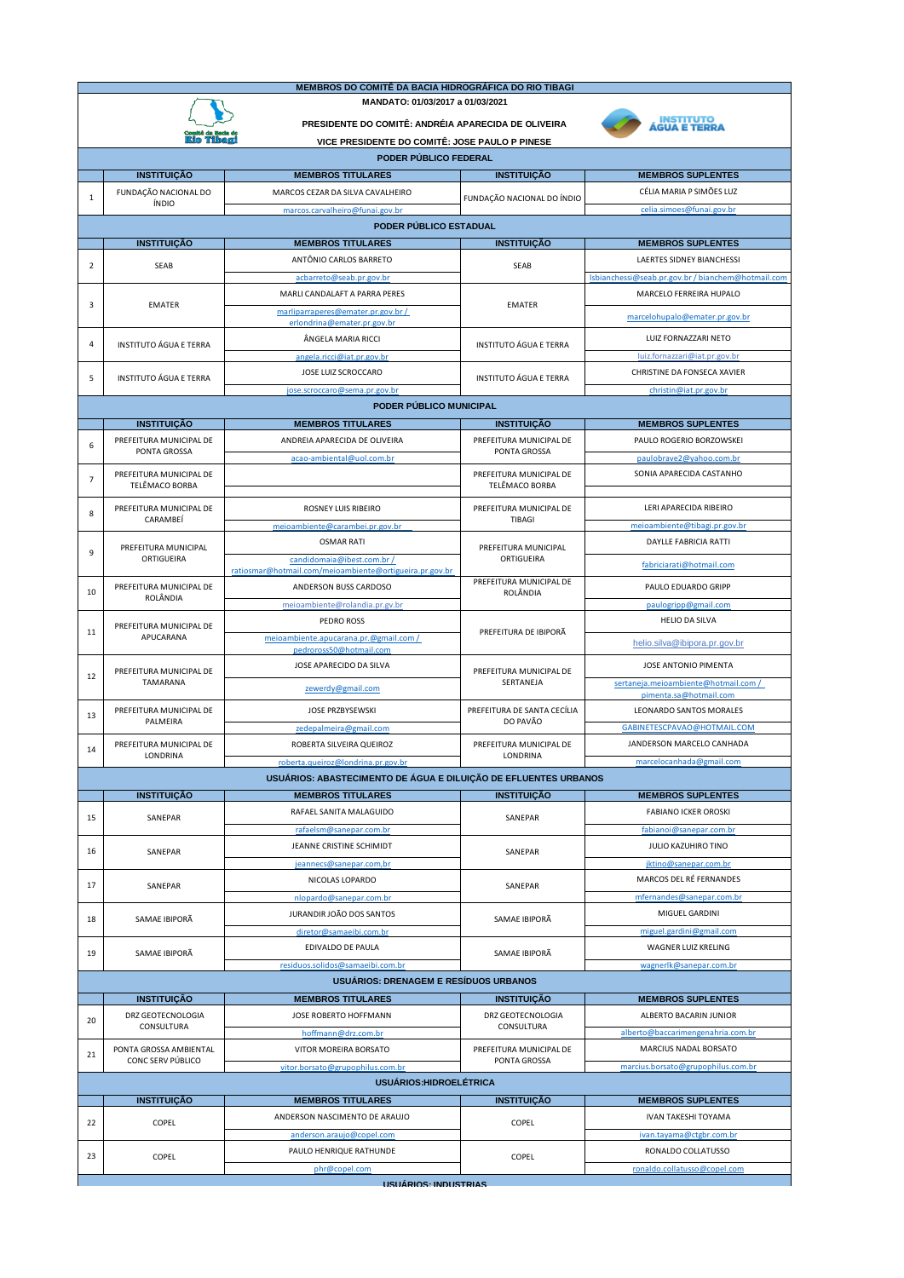| MEMBROS DO COMITÊ DA BACIA HIDROGRÁFICA DO RIO TIBAGI                                                   |                                                                       |                                                                 |                                           |                                                                |  |  |  |  |  |
|---------------------------------------------------------------------------------------------------------|-----------------------------------------------------------------------|-----------------------------------------------------------------|-------------------------------------------|----------------------------------------------------------------|--|--|--|--|--|
|                                                                                                         | MANDATO: 01/03/2017 a 01/03/2021                                      |                                                                 |                                           |                                                                |  |  |  |  |  |
| INSTITUTO<br>PRESIDENTE DO COMITÊ: ANDRÉIA APARECIDA DE OLIVEIRA                                        |                                                                       |                                                                 |                                           |                                                                |  |  |  |  |  |
|                                                                                                         | <b>AGUA E TERRA</b><br>VICE PRESIDENTE DO COMITÊ: JOSE PAULO P PINESE |                                                                 |                                           |                                                                |  |  |  |  |  |
| PODER PÚBLICO FEDERAL                                                                                   |                                                                       |                                                                 |                                           |                                                                |  |  |  |  |  |
|                                                                                                         | <b>INSTITUIÇÃO</b>                                                    | <b>MEMBROS TITULARES</b>                                        | <b>INSTITUIÇÃO</b>                        | <b>MEMBROS SUPLENTES</b>                                       |  |  |  |  |  |
|                                                                                                         | FUNDAÇÃO NACIONAL DO                                                  | MARCOS CEZAR DA SILVA CAVALHEIRO                                |                                           | CÉLIA MARIA P SIMÕES LUZ                                       |  |  |  |  |  |
| $\mathbf{1}$                                                                                            | ÍNDIO                                                                 | marcos.carvalheiro@funai.gov.br                                 | FUNDAÇÃO NACIONAL DO ÍNDIO                | celia.simoes@funai.gov.br                                      |  |  |  |  |  |
|                                                                                                         | PODER PÚBLICO ESTADUAL                                                |                                                                 |                                           |                                                                |  |  |  |  |  |
|                                                                                                         | <b>INSTITUIÇÃO</b>                                                    | <b>MEMBROS TITULARES</b>                                        | <b>INSTITUIÇÃO</b>                        | <b>MEMBROS SUPLENTES</b>                                       |  |  |  |  |  |
|                                                                                                         |                                                                       | ANTÔNIO CARLOS BARRETO                                          |                                           | <b>LAERTES SIDNEY BIANCHESSI</b>                               |  |  |  |  |  |
| $\overline{\mathbf{2}}$                                                                                 | SEAB                                                                  | acbarreto@seab.pr.gov.br                                        | <b>SEAB</b>                               | Isbianchessi@seab.pr.gov.br / bianchem@hotmail.com             |  |  |  |  |  |
|                                                                                                         |                                                                       | MARLI CANDALAFT A PARRA PERES                                   |                                           | MARCELO FERREIRA HUPALO                                        |  |  |  |  |  |
| 3                                                                                                       | <b>EMATER</b>                                                         | marliparraperes@emater.pr.gov.br /                              | <b>EMATER</b>                             |                                                                |  |  |  |  |  |
|                                                                                                         |                                                                       | erlondrina@emater.pr.gov.br                                     |                                           | marcelohupalo@emater.pr.gov.br                                 |  |  |  |  |  |
| $\overline{4}$                                                                                          | <b>INSTITUTO ÁGUA E TERRA</b>                                         | ÂNGELA MARIA RICCI                                              | <b>INSTITUTO ÁGUA E TERRA</b>             | LUIZ FORNAZZARI NETO                                           |  |  |  |  |  |
|                                                                                                         |                                                                       | angela.ricci@iat.pr.gov.br                                      |                                           | luiz.fornazzari@iat.pr.gov.br                                  |  |  |  |  |  |
| 5                                                                                                       | <b>INSTITUTO ÁGUA E TERRA</b>                                         | JOSE LUIZ SCROCCARO                                             | <b>INSTITUTO ÁGUA E TERRA</b>             | CHRISTINE DA FONSECA XAVIER                                    |  |  |  |  |  |
|                                                                                                         |                                                                       | jose.scroccaro@sema.pr.gov.br                                   |                                           | christin@iat.pr.gov.br                                         |  |  |  |  |  |
| PODER PÚBLICO MUNICIPAL                                                                                 |                                                                       |                                                                 |                                           |                                                                |  |  |  |  |  |
|                                                                                                         | <b>INSTITUIÇÃO</b>                                                    | <b>MEMBROS TITULARES</b>                                        | <b>INSTITUIÇÃO</b>                        | <b>MEMBROS SUPLENTES</b>                                       |  |  |  |  |  |
| 6                                                                                                       | PREFEITURA MUNICIPAL DE<br>PONTA GROSSA                               | ANDREIA APARECIDA DE OLIVEIRA                                   | PREFEITURA MUNICIPAL DE<br>PONTA GROSSA   | PAULO ROGERIO BORZOWSKEI                                       |  |  |  |  |  |
|                                                                                                         |                                                                       | acao-ambiental@uol.com.br                                       |                                           | paulobrave2@yahoo.com.br                                       |  |  |  |  |  |
| $\overline{7}$                                                                                          | PREFEITURA MUNICIPAL DE<br>TELÊMACO BORBA                             |                                                                 | PREFEITURA MUNICIPAL DE<br>TELÊMACO BORBA | SONIA APARECIDA CASTANHO                                       |  |  |  |  |  |
|                                                                                                         |                                                                       |                                                                 |                                           | LERI APARECIDA RIBEIRO                                         |  |  |  |  |  |
| 8                                                                                                       | PREFEITURA MUNICIPAL DE<br>CARAMBEÍ                                   | ROSNEY LUIS RIBEIRO                                             | PREFEITURA MUNICIPAL DE<br>TIBAGI         |                                                                |  |  |  |  |  |
|                                                                                                         |                                                                       | meioambiente@carambei.pr.gov.br<br><b>OSMAR RATI</b>            |                                           | meioambiente@tibagi.pr.gov.br<br>DAYLLE FABRICIA RATTI         |  |  |  |  |  |
| 9                                                                                                       | PREFEITURA MUNICIPAL<br>ORTIGUEIRA                                    | candidomaia@ibest.com.br /                                      | PREFEITURA MUNICIPAL                      |                                                                |  |  |  |  |  |
|                                                                                                         |                                                                       | ratiosmar@hotmail.com/meioambiente@ortigueira.pr.gov.br         | ORTIGUEIRA                                | fabriciarati@hotmail.com                                       |  |  |  |  |  |
| 10                                                                                                      | PREFEITURA MUNICIPAL DE                                               | ANDERSON BUSS CARDOSO                                           | PREFEITURA MUNICIPAL DE<br>ROLÂNDIA       | PAULO EDUARDO GRIPP                                            |  |  |  |  |  |
|                                                                                                         | ROLÂNDIA                                                              | meioambiente@rolandia.pr.gv.br                                  |                                           | paulogripp@gmail.com                                           |  |  |  |  |  |
|                                                                                                         | PREFEITURA MUNICIPAL DE<br>APUCARANA                                  | PEDRO ROSS                                                      | PREFEITURA DE IBIPORÃ                     | <b>HELIO DA SILVA</b>                                          |  |  |  |  |  |
| 11                                                                                                      |                                                                       | meioambiente.apucarana.pr.@gmail.com /                          |                                           | helio.silva@ibipora.pr.gov.br                                  |  |  |  |  |  |
|                                                                                                         |                                                                       | pedroross50@hotmail.com                                         |                                           |                                                                |  |  |  |  |  |
| 12                                                                                                      | PREFEITURA MUNICIPAL DE                                               | JOSE APARECIDO DA SILVA                                         | PREFEITURA MUNICIPAL DE                   | JOSE ANTONIO PIMENTA                                           |  |  |  |  |  |
|                                                                                                         | TAMARANA                                                              | zewerdy@gmail.com                                               | SERTANEJA                                 | sertaneia.meioambiente@hotmail.com /<br>pimenta.sa@hotmail.com |  |  |  |  |  |
| 13                                                                                                      | PREFEITURA MUNICIPAL DE                                               | JOSE PRZBYSEWSKI                                                | PREFEITURA DE SANTA CECÍLIA               | LEONARDO SANTOS MORALES                                        |  |  |  |  |  |
|                                                                                                         | PALMEIRA                                                              | zedepalmeira@gmail.com                                          | DO PAVÃO                                  | GABINETESCPAVAO@HOTMAIL.COM                                    |  |  |  |  |  |
| 14                                                                                                      | PREFEITURA MUNICIPAL DE                                               | ROBERTA SILVEIRA QUEIROZ                                        | PREFEITURA MUNICIPAL DE                   | JANDERSON MARCELO CANHADA                                      |  |  |  |  |  |
|                                                                                                         | LONDRINA                                                              | roberta.queiroz@londrina.pr.gov.br                              | LONDRINA                                  | marcelocanhada@gmail.com                                       |  |  |  |  |  |
|                                                                                                         |                                                                       | USUÁRIOS: ABASTECIMENTO DE ÁGUA E DILUIÇÃO DE EFLUENTES URBANOS |                                           |                                                                |  |  |  |  |  |
|                                                                                                         | <b>INSTITUIÇÃO</b>                                                    | <b>MEMBROS TITULARES</b>                                        | <b>INSTITUIÇÃO</b>                        | <b>MEMBROS SUPLENTES</b>                                       |  |  |  |  |  |
| 15                                                                                                      | SANEPAR                                                               | RAFAEL SANITA MALAGUIDO                                         | SANEPAR                                   | <b>FABIANO ICKER OROSKI</b>                                    |  |  |  |  |  |
|                                                                                                         |                                                                       | rafaelsm@sanepar.com.br                                         |                                           | fabianoi@sanepar.com.br                                        |  |  |  |  |  |
| 16                                                                                                      | SANEPAR                                                               | JEANNE CRISTINE SCHIMIDT                                        | SANEPAR                                   | JULIO KAZUHIRO TINO                                            |  |  |  |  |  |
|                                                                                                         |                                                                       | jeannecs@sanepar.com,br                                         |                                           | jktino@sanepar.com.br                                          |  |  |  |  |  |
| 17                                                                                                      | SANEPAR                                                               | NICOLAS LOPARDO                                                 | SANEPAR                                   | MARCOS DEL RÉ FERNANDES                                        |  |  |  |  |  |
|                                                                                                         |                                                                       | nlopardo@sanepar.com.br                                         |                                           | mfernandes@sanepar.com.br                                      |  |  |  |  |  |
| 18                                                                                                      | SAMAE IBIPORÂ                                                         | JURANDIR JOÃO DOS SANTOS                                        | SAMAE IBIPORÂ                             | MIGUEL GARDINI                                                 |  |  |  |  |  |
|                                                                                                         |                                                                       | diretor@samaeibi.com.br                                         |                                           | miguel.gardini@gmail.com                                       |  |  |  |  |  |
| 19                                                                                                      | SAMAE IBIPORÃ                                                         | EDIVALDO DE PAULA                                               | SAMAE IBIPORÃ                             | WAGNER LUIZ KRELING                                            |  |  |  |  |  |
|                                                                                                         |                                                                       | residuos.solidos@samaeibi.com.br                                |                                           | wagnerlk@sanepar.com.br                                        |  |  |  |  |  |
|                                                                                                         |                                                                       | <b>USUÁRIOS: DRENAGEM E RESÍDUOS URBANOS</b>                    |                                           |                                                                |  |  |  |  |  |
|                                                                                                         | <b>INSTITUIÇÃO</b>                                                    | <b>MEMBROS TITULARES</b>                                        | <b>INSTITUIÇÃO</b>                        | <b>MEMBROS SUPLENTES</b>                                       |  |  |  |  |  |
| 20                                                                                                      | DRZ GEOTECNOLOGIA<br>CONSULTURA                                       | JOSE ROBERTO HOFFMANN                                           | DRZ GEOTECNOLOGIA<br>CONSULTURA           | ALBERTO BACARIN JUNIOR                                         |  |  |  |  |  |
|                                                                                                         |                                                                       | hoffmann@drz.com.br                                             |                                           | alberto@baccarimengenahria.com.br                              |  |  |  |  |  |
| 21                                                                                                      | PONTA GROSSA AMBIENTAL<br>CONC SERV PÚBLICO                           | VITOR MOREIRA BORSATO                                           | PREFEITURA MUNICIPAL DE<br>PONTA GROSSA   | MARCIUS NADAL BORSATO                                          |  |  |  |  |  |
| marcius.borsato@grupophilus.com.br<br>vitor.borsato@grupophilus.com.br<br><b>USUÁRIOS:HIDROELÉTRICA</b> |                                                                       |                                                                 |                                           |                                                                |  |  |  |  |  |
|                                                                                                         |                                                                       |                                                                 |                                           |                                                                |  |  |  |  |  |
|                                                                                                         | <b>INSTITUIÇÃO</b>                                                    | <b>MEMBROS TITULARES</b><br>ANDERSON NASCIMENTO DE ARAUJO       | <b>INSTITUIÇÃO</b>                        | <b>MEMBROS SUPLENTES</b><br>IVAN TAKESHI TOYAMA                |  |  |  |  |  |
| 22                                                                                                      | COPEL                                                                 |                                                                 | COPEL                                     | ivan.tayama@ctgbr.com.br                                       |  |  |  |  |  |
|                                                                                                         |                                                                       | anderson.araujo@copel.com<br>PAULO HENRIQUE RATHUNDE            |                                           | RONALDO COLLATUSSO                                             |  |  |  |  |  |
| 23                                                                                                      | COPEL                                                                 | phr@copel.com                                                   | COPEL                                     | ronaldo.collatusso@copel.com                                   |  |  |  |  |  |
|                                                                                                         | <b>HSHÁRIOS-INDHSTRIAS</b>                                            |                                                                 |                                           |                                                                |  |  |  |  |  |